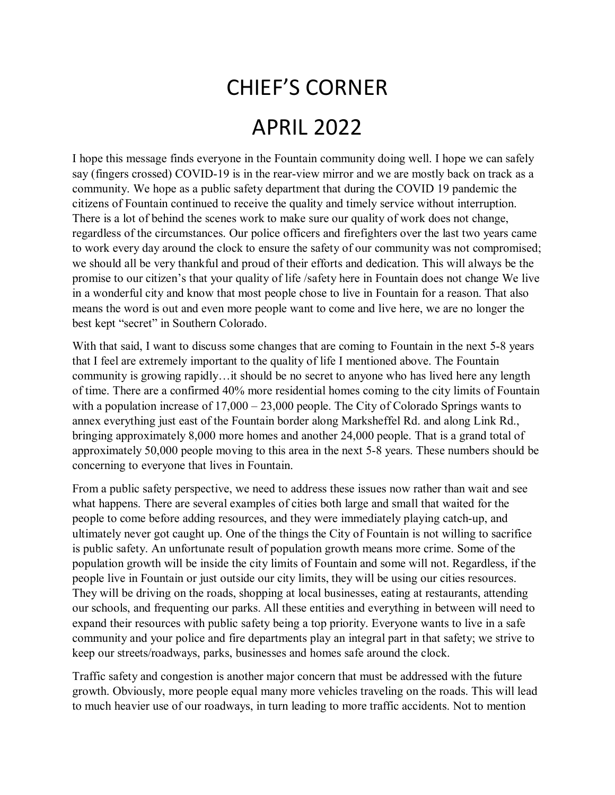## CHIEF'S CORNER APRIL 2022

I hope this message finds everyone in the Fountain community doing well. I hope we can safely say (fingers crossed) COVID-19 is in the rear-view mirror and we are mostly back on track as a community. We hope as a public safety department that during the COVID 19 pandemic the citizens of Fountain continued to receive the quality and timely service without interruption. There is a lot of behind the scenes work to make sure our quality of work does not change, regardless of the circumstances. Our police officers and firefighters over the last two years came to work every day around the clock to ensure the safety of our community was not compromised; we should all be very thankful and proud of their efforts and dedication. This will always be the promise to our citizen's that your quality of life /safety here in Fountain does not change We live in a wonderful city and know that most people chose to live in Fountain for a reason. That also means the word is out and even more people want to come and live here, we are no longer the best kept "secret" in Southern Colorado.

With that said, I want to discuss some changes that are coming to Fountain in the next 5-8 years that I feel are extremely important to the quality of life I mentioned above. The Fountain community is growing rapidly…it should be no secret to anyone who has lived here any length of time. There are a confirmed 40% more residential homes coming to the city limits of Fountain with a population increase of  $17,000 - 23,000$  people. The City of Colorado Springs wants to annex everything just east of the Fountain border along Marksheffel Rd. and along Link Rd., bringing approximately 8,000 more homes and another 24,000 people. That is a grand total of approximately 50,000 people moving to this area in the next 5-8 years. These numbers should be concerning to everyone that lives in Fountain.

From a public safety perspective, we need to address these issues now rather than wait and see what happens. There are several examples of cities both large and small that waited for the people to come before adding resources, and they were immediately playing catch-up, and ultimately never got caught up. One of the things the City of Fountain is not willing to sacrifice is public safety. An unfortunate result of population growth means more crime. Some of the population growth will be inside the city limits of Fountain and some will not. Regardless, if the people live in Fountain or just outside our city limits, they will be using our cities resources. They will be driving on the roads, shopping at local businesses, eating at restaurants, attending our schools, and frequenting our parks. All these entities and everything in between will need to expand their resources with public safety being a top priority. Everyone wants to live in a safe community and your police and fire departments play an integral part in that safety; we strive to keep our streets/roadways, parks, businesses and homes safe around the clock.

Traffic safety and congestion is another major concern that must be addressed with the future growth. Obviously, more people equal many more vehicles traveling on the roads. This will lead to much heavier use of our roadways, in turn leading to more traffic accidents. Not to mention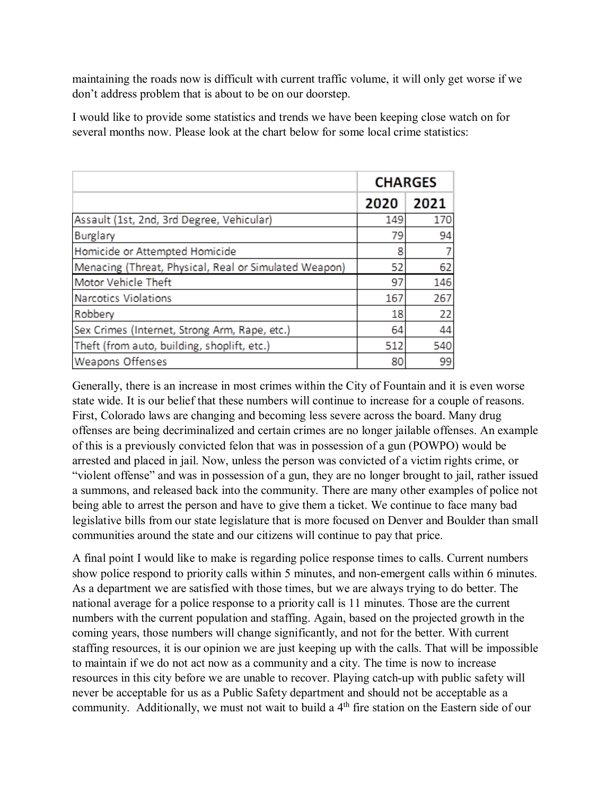maintaining the roads now is difficult with current traffic volume, it will only get worse if we don't address problem that is about to be on our doorstep.

I would like to provide some statistics and trends we have been keeping close watch on for several months now. Please look at the chart below for some local crime statistics:

|                                                       | <b>CHARGES</b> |      |
|-------------------------------------------------------|----------------|------|
|                                                       | 2020           | 2021 |
| Assault (1st, 2nd, 3rd Degree, Vehicular)             | 149            | 170  |
| Burglary                                              | 79             | 94   |
| Homicide or Attempted Homicide                        | 8              |      |
| Menacing (Threat, Physical, Real or Simulated Weapon) | 52             | 62   |
| Motor Vehicle Theft                                   | 97             | 146  |
| Narcotics Violations                                  | 167            | 267  |
| Robbery                                               | 18             | 22   |
| Sex Crimes (Internet, Strong Arm, Rape, etc.)         | 64             | 44   |
| Theft (from auto, building, shoplift, etc.)           | 512            | 540  |
| Weapons Offenses                                      | 80             | 99   |

Generally, there is an increase in most crimes within the City of Fountain and it is even worse state wide. It is our belief that these numbers will continue to increase for a couple of reasons. First, Colorado laws are changing and becoming less severe across the board. Many drug offenses are being decriminalized and certain crimes are no longer jailable offenses. An example of this is a previously convicted felon that was in possession of a gun (POWPO) would be arrested and placed in jail. Now, unless the person was convicted of a victim rights crime, or "violent offense" and was in possession of a gun, they are no longer brought to jail, rather issued a summons, and released back into the community. There are many other examples of police not being able to arrest the person and have to give them a ticket. We continue to face many bad legislative bills from our state legislature that is more focused on Denver and Boulder than small communities around the state and our citizens will continue to pay that price.

A final point I would like to make is regarding police response times to calls. Current numbers show police respond to priority calls within 5 minutes, and non-emergent calls within 6 minutes. As a department we are satisfied with those times, but we are always trying to do better. The national average for a police response to a priority call is 11 minutes. Those are the current numbers with the current population and staffing. Again, based on the projected growth in the coming years, those numbers will change significantly, and not for the better. With current staffing resources, it is our opinion we are just keeping up with the calls. That will be impossible to maintain if we do not act now as a community and a city. The time is now to increase resources in this city before we are unable to recover. Playing catch-up with public safety will never be acceptable for us as a Public Safety department and should not be acceptable as a community. Additionally, we must not wait to build a 4<sup>th</sup> fire station on the Eastern side of our